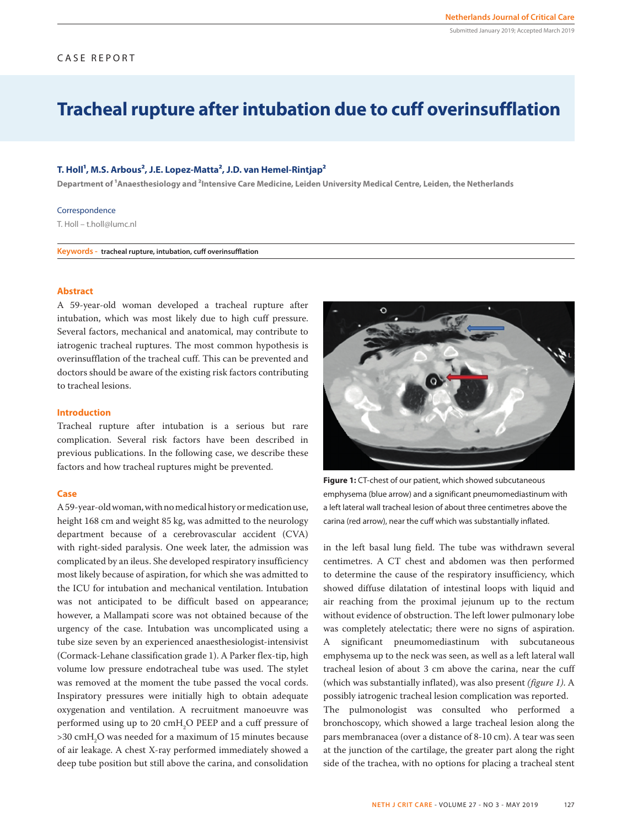## CASE REPORT

# **Tracheal rupture after intubation due to cuff overinsufflation**

## T. Holl<sup>1</sup>, M.S. Arbous<sup>2</sup>, J.E. Lopez-Matta<sup>2</sup>, J.D. van Hemel-Rintjap<sup>2</sup>

Department of <sup>1</sup>Anaesthesiology and <sup>2</sup>Intensive Care Medicine, Leiden University Medical Centre, Leiden, the Netherlands

#### Correspondence

T. Holl – t.holl@lumc.nl

**Keywords - tracheal rupture, intubation, cuff overinsufflation**

#### **Abstract**

A 59-year-old woman developed a tracheal rupture after intubation, which was most likely due to high cuff pressure. Several factors, mechanical and anatomical, may contribute to iatrogenic tracheal ruptures. The most common hypothesis is overinsufflation of the tracheal cuff. This can be prevented and doctors should be aware of the existing risk factors contributing to tracheal lesions.

### **Introduction**

Tracheal rupture after intubation is a serious but rare complication. Several risk factors have been described in previous publications. In the following case, we describe these factors and how tracheal ruptures might be prevented.

#### **Case**

A 59-year-old woman, with no medical history or medication use, height 168 cm and weight 85 kg, was admitted to the neurology department because of a cerebrovascular accident (CVA) with right-sided paralysis. One week later, the admission was complicated by an ileus. She developed respiratory insufficiency most likely because of aspiration, for which she was admitted to the ICU for intubation and mechanical ventilation. Intubation was not anticipated to be difficult based on appearance; however, a Mallampati score was not obtained because of the urgency of the case. Intubation was uncomplicated using a tube size seven by an experienced anaesthesiologist-intensivist (Cormack-Lehane classification grade 1). A Parker flex-tip, high volume low pressure endotracheal tube was used. The stylet was removed at the moment the tube passed the vocal cords. Inspiratory pressures were initially high to obtain adequate oxygenation and ventilation. A recruitment manoeuvre was performed using up to 20  $\text{cm}H_{2}$ O PEEP and a cuff pressure of  $>$ 30 cm $H_2O$  was needed for a maximum of 15 minutes because of air leakage. A chest X-ray performed immediately showed a deep tube position but still above the carina, and consolidation



**Figure 1:** CT-chest of our patient, which showed subcutaneous emphysema (blue arrow) and a significant pneumomediastinum with a left lateral wall tracheal lesion of about three centimetres above the carina (red arrow), near the cuff which was substantially inflated.

in the left basal lung field. The tube was withdrawn several centimetres. A CT chest and abdomen was then performed to determine the cause of the respiratory insufficiency, which showed diffuse dilatation of intestinal loops with liquid and air reaching from the proximal jejunum up to the rectum without evidence of obstruction. The left lower pulmonary lobe was completely atelectatic; there were no signs of aspiration. A significant pneumomediastinum with subcutaneous emphysema up to the neck was seen, as well as a left lateral wall tracheal lesion of about 3 cm above the carina, near the cuff (which was substantially inflated), was also present *(figure 1)*. A possibly iatrogenic tracheal lesion complication was reported. The pulmonologist was consulted who performed a bronchoscopy, which showed a large tracheal lesion along the pars membranacea (over a distance of 8-10 cm). A tear was seen at the junction of the cartilage, the greater part along the right side of the trachea, with no options for placing a tracheal stent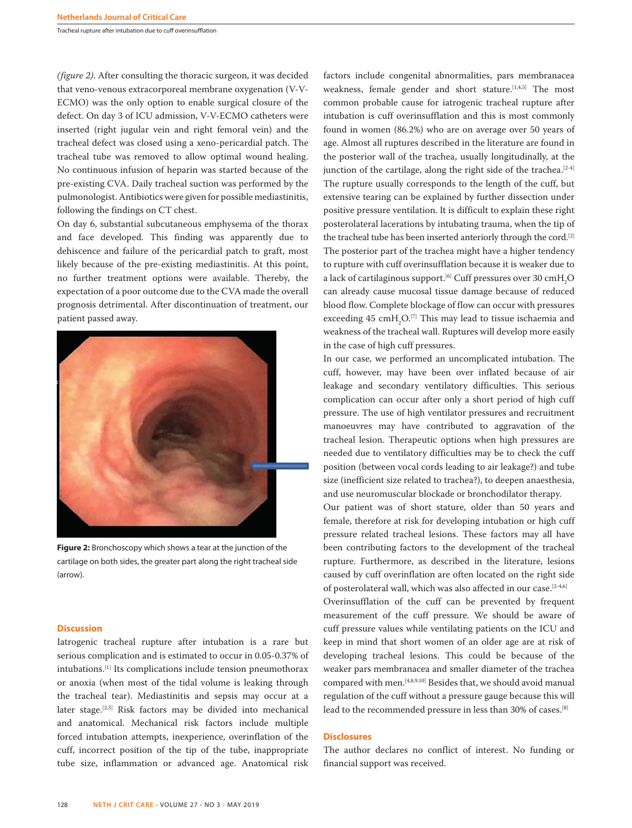Tracheal rupture after intubation due to cuff overinsufflation

*(figure 2)*. After consulting the thoracic surgeon, it was decided that veno-venous extracorporeal membrane oxygenation (V-V-ECMO) was the only option to enable surgical closure of the defect. On day 3 of ICU admission, V-V-ECMO catheters were inserted (right jugular vein and right femoral vein) and the tracheal defect was closed using a xeno-pericardial patch. The tracheal tube was removed to allow optimal wound healing. No continuous infusion of heparin was started because of the pre-existing CVA. Daily tracheal suction was performed by the pulmonologist. Antibiotics were given for possible mediastinitis, following the findings on CT chest.

On day 6, substantial subcutaneous emphysema of the thorax and face developed. This finding was apparently due to dehiscence and failure of the pericardial patch to graft, most likely because of the pre-existing mediastinitis. At this point, no further treatment options were available. Thereby, the expectation of a poor outcome due to the CVA made the overall prognosis detrimental. After discontinuation of treatment, our patient passed away.



**Figure 2:** Bronchoscopy which shows a tear at the junction of the cartilage on both sides, the greater part along the right tracheal side (arrow).

#### **Discussion**

Iatrogenic tracheal rupture after intubation is a rare but serious complication and is estimated to occur in 0.05-0.37% of intubations.[1] Its complications include tension pneumothorax or anoxia (when most of the tidal volume is leaking through the tracheal tear). Mediastinitis and sepsis may occur at a later stage.[2,3] Risk factors may be divided into mechanical and anatomical. Mechanical risk factors include multiple forced intubation attempts, inexperience, overinflation of the cuff, incorrect position of the tip of the tube, inappropriate tube size, inflammation or advanced age. Anatomical risk

factors include congenital abnormalities, pars membranacea weakness, female gender and short stature.<sup>[1,4,5]</sup> The most common probable cause for iatrogenic tracheal rupture after intubation is cuff overinsufflation and this is most commonly found in women (86.2%) who are on average over 50 years of age. Almost all ruptures described in the literature are found in the posterior wall of the trachea, usually longitudinally, at the junction of the cartilage, along the right side of the trachea.<sup>[2-4]</sup> The rupture usually corresponds to the length of the cuff, but extensive tearing can be explained by further dissection under positive pressure ventilation. It is difficult to explain these right posterolateral lacerations by intubating trauma, when the tip of the tracheal tube has been inserted anteriorly through the cord.<sup>[2]</sup> The posterior part of the trachea might have a higher tendency to rupture with cuff overinsufflation because it is weaker due to a lack of cartilaginous support.<sup>[6]</sup> Cuff pressures over 30  $\text{cm}H_{2} \text{O}$ can already cause mucosal tissue damage because of reduced blood flow. Complete blockage of flow can occur with pressures exceeding  $45 \text{ cm} + \text{C}$ . This may lead to tissue ischaemia and weakness of the tracheal wall. Ruptures will develop more easily in the case of high cuff pressures.

In our case, we performed an uncomplicated intubation. The cuff, however, may have been over inflated because of air leakage and secondary ventilatory difficulties. This serious complication can occur after only a short period of high cuff pressure. The use of high ventilator pressures and recruitment manoeuvres may have contributed to aggravation of the tracheal lesion. Therapeutic options when high pressures are needed due to ventilatory difficulties may be to check the cuff position (between vocal cords leading to air leakage?) and tube size (inefficient size related to trachea?), to deepen anaesthesia, and use neuromuscular blockade or bronchodilator therapy.

Our patient was of short stature, older than 50 years and female, therefore at risk for developing intubation or high cuff pressure related tracheal lesions. These factors may all have been contributing factors to the development of the tracheal rupture. Furthermore, as described in the literature, lesions caused by cuff overinflation are often located on the right side of posterolateral wall, which was also affected in our case.<sup>[2-4,6]</sup>

Overinsufflation of the cuff can be prevented by frequent measurement of the cuff pressure. We should be aware of cuff pressure values while ventilating patients on the ICU and keep in mind that short women of an older age are at risk of developing tracheal lesions. This could be because of the weaker pars membranacea and smaller diameter of the trachea compared with men.[4,8,9,10] Besides that, we should avoid manual regulation of the cuff without a pressure gauge because this will lead to the recommended pressure in less than 30% of cases.[8]

#### **Disclosures**

The author declares no conflict of interest. No funding or financial support was received.